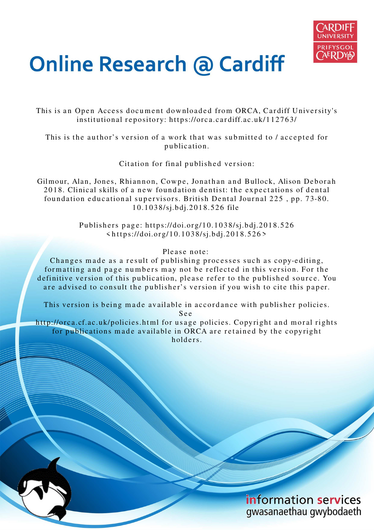

# **Online Research @ Cardiff**

This is an Open Access document downloaded from ORCA, Cardiff University's institutional repository: https://orca.cardiff.ac.uk/112763/

This is the author's version of a work that was submitted to / accepted for p u blication.

Citation for final published version:

Gilmour, Alan, Jones, Rhiannon, Cowpe, Jonathan and Bullock, Alison Deborah 2018. Clinical skills of a new foundation dentist: the expectations of dental foundation educational supervisors. British Dental Journal 225, pp. 73-80. 1 0.10 3 8/sj.bdj.201 8.52 6 file

> Publishers page: https://doi.org/10.1038/sj.bdj.2018.526  $\langle https://doi.org/10.1038/sj.bdj.2018.526 \rangle$

> > Please note:

Changes made as a result of publishing processes such as copy-editing, formatting and page numbers may not be reflected in this version. For the definitive version of this publication, please refer to the published source. You are advised to consult the publisher's version if you wish to cite this paper.

This version is being made available in accordance with publisher policies.

S e e

http://orca.cf.ac.uk/policies.html for usage policies. Copyright and moral rights for publications made available in ORCA are retained by the copyright holders

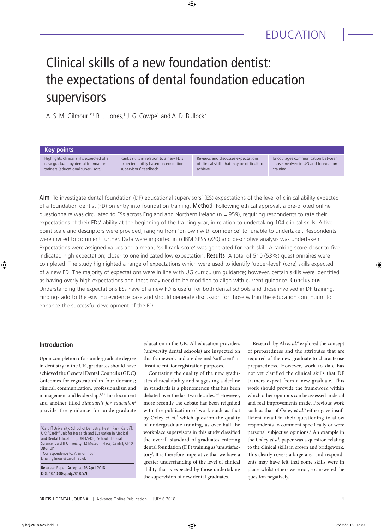# Clinical skills of a new foundation dentist: the expectations of dental foundation education supervisors

A. S. M. Gilmour,  $*$   $\mathsf{R}$ . J. Jones,  $\mathsf{1}$  J. G. Cowpe $\mathsf{1}$  and A. D. Bullock $\mathsf{2}$ 

#### **Key points**

Highlights clinical skills expected of a new graduate by dental foundation trainers (educational supervisors).

Ranks skills in relation to a new FD's expected ability based on educational supervisors' feedback.

Reviews and discusses expectations of clinical skills that may be difficult to achieve.

Encourages communication between those involved in UG and foundation training.

Aim To investigate dental foundation (DF) educational supervisors' (ES) expectations of the level of clinical ability expected of a foundation dentist (FD) on entry into foundation training. Method Following ethical approval, a pre-piloted online questionnaire was circulated to ESs across England and Northern Ireland ( $n = 959$ ), requiring respondents to rate their expectations of their FDs' ability at the beginning of the training year, in relation to undertaking 104 clinical skills. A fivepoint scale and descriptors were provided, ranging from 'on own with confidence' to 'unable to undertake'. Respondents were invited to comment further. Data were imported into IBM SPSS (v20) and descriptive analysis was undertaken. Expectations were assigned values and a mean, 'skill rank score' was generated for each skill. A ranking score closer to five indicated high expectation; closer to one indicated low expectation. Results A total of 510 (53%) questionnaires were completed. The study highlighted a range of expectations which were used to identify 'upper-level' (core) skills expected of a new FD. The majority of expectations were in line with UG curriculum guidance; however, certain skills were identified as having overly high expectations and these may need to be modified to align with current guidance. Conclusions Understanding the expectations ESs have of a new FD is useful for both dental schools and those involved in DF training. Findings add to the existing evidence base and should generate discussion for those within the education continuum to enhance the successful development of the FD.

#### **Introduction**

⊕

Upon completion of an undergraduate degree in dentistry in the UK, graduates should have achieved the General Dental Council's (GDC) 'outcomes for registration' in four domains; clinical, communication, professionalism and management and leadership.<sup>1,2</sup> This document and another titled Standards for education<sup>2</sup> provide the guidance for undergraduate

<sup>1</sup>Cardiff University, School of Dentistry, Heath Park, Cardiff, UK; <sup>2</sup>Cardiff Unit for Research and Evaluation in Medical and Dental Education (CUREMeDE), School of Social Science, Cardiff University, 12 Museum Place, Cardiff, CF10 3BG, UK \*Correspondence to: Alan Gilmour Email: gilmour@cardiff.ac.uk

Refereed Paper. Accepted 26 April 2018 DOI: 10.1038/sj.bdj.2018.526

education in the UK. All education providers (university dental schools) are inspected on this framework and are deemed 'sufficient' or 'insufficient' for registration purposes.

Contesting the quality of the new graduate's clinical ability and suggesting a decline in standards is a phenomenon that has been debated over the last two decades.<sup>3,4</sup> However, more recently the debate has been reignited with the publication of work such as that by Oxley et al.<sup>5</sup> which question the quality of undergraduate training, as over half the workplace supervisors in this study classified the overall standard of graduates entering dental foundation (DF) training as 'unsatisfactory'. It is therefore imperative that we have a greater understanding of the level of clinical ability that is expected by those undertaking the supervision of new dental graduates.

Research by Ali et al.<sup>6</sup> explored the concept of preparedness and the attributes that are required of the new graduate to characterise preparedness. However, work to date has not yet clarified the clinical skills that DF trainers expect from a new graduate. This work should provide the framework within which other opinions can be assessed in detail and real improvements made. Previous work such as that of Oxley et al.<sup>5</sup> either gave insufficient detail in their questioning to allow respondents to comment specifically or were personal subjective opinions.<sup>7</sup> An example in the Oxley et al. paper was a question relating to the clinical skills in crown and bridgework. This clearly covers a large area and respondents may have felt that some skills were in place, whilst others were not, so answered the question negatively.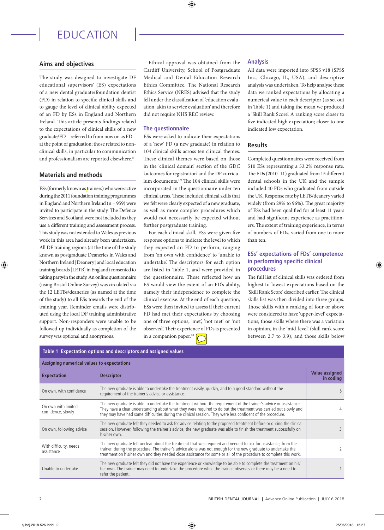#### **Aims and objectives**

The study was designed to investigate DF educational supervisors' (ES) expectations of a new dental graduate/foundation dentist (FD) in relation to specific clinical skills and to gauge the level of clinical ability expected of an FD by ESs in England and Northern Ireland. This article presents findings related to the expectations of clinical skills of a new graduate/FD – referred to from now on as FD – at the point of graduation; those related to nonclinical skills, in particular to communication and professionalism are reported elsewhere.<sup>8</sup>

#### **Materials and methods**

⊕

ESs (formerly known as trainers) who were active during the 2011 foundation training programmes in England and Northern Ireland (n = 959) were invited to participate in the study. The Defence Services and Scotland were not included as they use a different training and assessment process. This study was not extended to Wales as previous work in this area had already been undertaken. All DF training regions (at the time of the study known as postgraduate Deaneries in Wales and Northern Ireland [Deanery] and local education training boards [LETB] in England) consented to taking party in the study. An online questionnaire (using Bristol Online Survey) was circulated via the 12 LETBs/deaneries (as named at the time of the study) to all ESs towards the end of the training year. Reminder emails were distributed using the local DF training administrative support. Non-responders were unable to be followed up individually as completion of the survey was optional and anonymous.

Ethical approval was obtained from the Cardiff University, School of Postgraduate Medical and Dental Education Research Ethics Committee. The National Research Ethics Service (NRES) advised that the study fell under the classification of 'education evaluation, akin to service evaluation' and therefore did not require NHS REC review.

⊕

#### **The questionnaire**

ESs were asked to indicate their expectations of a 'new' FD (a new graduate) in relation to 104 clinical skills across ten clinical themes. These clinical themes were based on those in the 'clinical domain' section of the GDC 'outcomes for registration' and the DF curriculum documents.1,9 The 104 clinical skills were incorporated in the questionnaire under ten clinical areas. These included clinical skills that we felt were clearly expected of a new graduate, as well as more complex procedures which would not necessarily be expected without further postgraduate training.

For each clinical skill, ESs were given five response options to indicate the level to which they expected an FD to perform, ranging from 'on own with confidence' to 'unable to undertake'. The descriptors for each option are listed in Table 1, and were provided in the questionnaire. These reflected how an ES would view the extent of an FD's ability, namely their independence to complete the clinical exercise. At the end of each question, ESs were then invited to assess if their current FD had met their expectations by choosing one of three options, 'met', 'not met' or 'not observed'. Their experience of FDs is presented in a companion paper.<sup>10</sup>

#### **Analysis**

All data were imported into SPSS v18 (SPSS Inc., Chicago, IL, USA), and descriptive analysis was undertaken. To help analyse these data we ranked expectations by allocating a numerical value to each descriptor (as set out in Table 1) and taking the mean we produced a 'Skill Rank Score'. A ranking score closer to five indicated high expectation; closer to one indicated low expectation.

#### **Results**

Completed questionnaires were received from 510 ESs representing a 53.2% response rate. The FDs (2010–11) graduated from 15 different dental schools in the UK and the sample included 40 FDs who graduated from outside the UK. Response rate by LETB/deanery varied widely (from 29% to 96%). The great majority of ESs had been qualified for at least 11 years and had significant experience as practitioners. The extent of training experience, in terms of numbers of FDs, varied from one to more than ten.

#### **ESs' expectations of FDs' competence in performing specific clinical procedures**

The full list of clinical skills was ordered from highest to lowest expectations based on the 'Skill Rank Score' described earlier. The clinical skills list was then divided into three groups. Those skills with a ranking of four or above were considered to have 'upper-level' expectations; those skills where there was a variation in opinion, in the 'mid-level' (skill rank score between 2.7 to 3.9); and those skills below

| Table 1 Expectation options and descriptors and assigned values |                                                                                                                                                                                                                                                                                                                                                       |                             |  |  |  |  |  |  |
|-----------------------------------------------------------------|-------------------------------------------------------------------------------------------------------------------------------------------------------------------------------------------------------------------------------------------------------------------------------------------------------------------------------------------------------|-----------------------------|--|--|--|--|--|--|
| Assigning numerical values to expectations                      |                                                                                                                                                                                                                                                                                                                                                       |                             |  |  |  |  |  |  |
| <b>Expectation</b>                                              | <b>Descriptor</b>                                                                                                                                                                                                                                                                                                                                     | Value assigned<br>in coding |  |  |  |  |  |  |
| On own, with confidence                                         | The new graduate is able to undertake the treatment easily, quickly, and to a good standard without the<br>requirement of the trainer's advice or assistance.                                                                                                                                                                                         | 5.                          |  |  |  |  |  |  |
| On own with limited<br>confidence, slowly                       | The new graduate is able to undertake the treatment without the requirement of the trainer's advice or assistance.<br>They have a clear understanding about what they were required to do but the treatment was carried out slowly and<br>they may have had some difficulties during the clinical session. They were less confident of the procedure. | 4                           |  |  |  |  |  |  |
| On own, following advice                                        | The new graduate felt they needed to ask for advice relating to the proposed treatment before or during the clinical<br>session. However, following the trainer's advice, the new graduate was able to finish the treatment successfully on<br>his/her own.                                                                                           | 3                           |  |  |  |  |  |  |
| With difficulty, needs<br>assistance                            | The new graduate felt unclear about the treatment that was required and needed to ask for assistance, from the<br>trainer, during the procedure. The trainer's advice alone was not enough for the new graduate to undertake the<br>treatment on his/her own and they needed close assistance for some or all of the procedure to complete this work. | 2                           |  |  |  |  |  |  |
| Unable to undertake                                             | The new graduate felt they did not have the experience or knowledge to be able to complete the treatment on his/<br>her own. The trainer may need to undertake the procedure while the trainee observes or there may be a need to<br>refer the patient.                                                                                               |                             |  |  |  |  |  |  |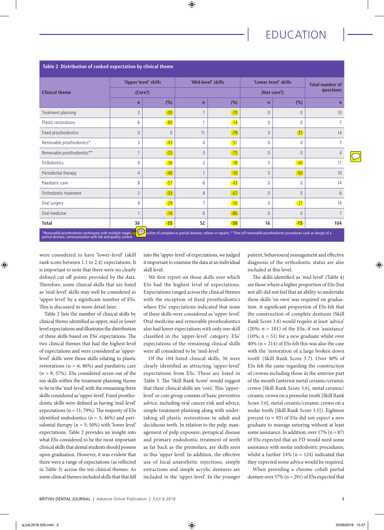| Table 2 Distribution of ranked expectation by clinical theme                                                                                                                                                                                                                   |                      |                |                    |         |                      |                                     |                |  |  |  |  |
|--------------------------------------------------------------------------------------------------------------------------------------------------------------------------------------------------------------------------------------------------------------------------------|----------------------|----------------|--------------------|---------|----------------------|-------------------------------------|----------------|--|--|--|--|
|                                                                                                                                                                                                                                                                                | 'Upper level' skills |                | 'Mid-level' skills |         | 'Lower level' skills | <b>Total number of</b><br>questions |                |  |  |  |  |
| <b>Clinical theme</b>                                                                                                                                                                                                                                                          | (Core?)              |                |                    |         | (Not core?)          |                                     |                |  |  |  |  |
|                                                                                                                                                                                                                                                                                | $\mathsf{n}$         | (%)            | $\mathsf{n}$       | (%)     | $\overline{ }$       | (% )                                | $\mathsf{n}$   |  |  |  |  |
| Treatment planning                                                                                                                                                                                                                                                             | 3                    | $-30$          | 7                  | $-70$   | $\overline{0}$       | $\overline{0}$                      | 10             |  |  |  |  |
| Plastic restorations                                                                                                                                                                                                                                                           | 6                    | $-86$          |                    | $-14$   | $\Omega$             | $\mathbf{0}$                        |                |  |  |  |  |
| Fixed prosthodontics                                                                                                                                                                                                                                                           | $\overline{0}$       | $\overline{0}$ | 11                 | $-79$   | 3                    | $-21$                               | 14             |  |  |  |  |
| Removable prosthodontics*                                                                                                                                                                                                                                                      | 3                    | $-43$          | 4                  | $-57$   | 0                    | 0                                   | $\overline{7}$ |  |  |  |  |
| Removable prosthodontics**                                                                                                                                                                                                                                                     | 1                    | $-25$          | 3                  | $-75$   | $\overline{0}$       | $\overline{0}$                      | $\overline{4}$ |  |  |  |  |
| Endodontics                                                                                                                                                                                                                                                                    | 4                    | $-36$          | 2                  | $-18$   | 5                    | $-46$                               | 11             |  |  |  |  |
| Periodontal therapy                                                                                                                                                                                                                                                            | 4                    | $-40$          |                    | $(-10)$ | 5                    | $-50$                               | 10             |  |  |  |  |
| Paediatric care                                                                                                                                                                                                                                                                | 8                    | $-57$          | 6                  | $-43$   | 0                    | 0                                   | 14             |  |  |  |  |
| Orthodontic treatment                                                                                                                                                                                                                                                          | $\overline{2}$       | $-33$          | 4                  | $-67$   | $\overline{0}$       | $\overline{0}$                      | 6              |  |  |  |  |
| Oral surgery                                                                                                                                                                                                                                                                   | 4                    | $-29$          | 7                  | $-50$   | 3                    | $-21$                               | 14             |  |  |  |  |
| Oral medicine                                                                                                                                                                                                                                                                  | 1                    | $-14$          | 6                  | $-86$   | $\overline{0}$       | $\overline{0}$                      | $\overline{7}$ |  |  |  |  |
| <b>Total</b>                                                                                                                                                                                                                                                                   | 36                   | $-35$          | 52                 | $-50$   | 16                   | $-15$                               | 104            |  |  |  |  |
| *Removable prosthodontic techniques with multiple stages<br>uction of complete or partial denture, relines or repairs; **One off removable prosthodontic procedures such as design of a<br>نتلا <mark>لا</mark><br>partial denture, communication with lab and quality control |                      |                |                    |         |                      |                                     |                |  |  |  |  |

⊕

were considered to have 'lower-level' (skill rank score between 1.1 to 2.4) expectations. It is important to note that there were no clearly defined cut off points provided by the data. Therefore, some clinical skills that are listed as 'mid-level' skills may well be considered as 'upper-level' by a significant number of ESs. This is discussed in more detail later.

⊕

Table 2 lists the number of clinical skills by clinical theme identified as upper, mid or lower level expectations and illustrates the distribution of these skills based on ESs' expectations. The two clinical themes that had the highest level of expectations and were considered as 'upperlevel' skills were those skills relating to plastic restorations ( $n = 6$ ; 86%) and paediatric care (n = 8; 57%). ESs considered seven out of the ten skills within the treatment planning theme to be in the 'mid-level', with the remaining three skills considered as 'upper-level'. Fixed prosthodontic skills were defined as having 'mid-level' expectations (n = 11; 79%). The majority of ESs identified endodontics ( $n = 5$ ; 46%) and periodontal therapy ( $n = 5$ ; 50%) with 'lower level' expectations. Table 2 provides an insight into what ESs considered to be the most important clinical skills that dental students should possess upon graduation. However, it was evident that there were a range of expectations (as reflected in Table 3) across the ten clinical themes. As some clinical themes included skills that that fell into the 'upper-level' of expectations, we judged it important to examine the data at an individual skill level.

We first report on those skills over which ESs had the highest level of expectations. Expectations ranged across the clinical themes with the exception of fixed prosthodontics where ESs' expectations indicated that none of these skills were considered as 'upper-level'. Oral medicine and removable prosthodontics also had lower expectations with only one skill classified in the 'upper-level' category. ESs' expectations of the remaining clinical skills were all considered to be 'mid-level'.

Of the 104 listed clinical skills, 36 were clearly identified as attracting 'upper-level' expectations from ESs. These are listed in Table 3. The 'Skill Rank Score' would suggest that these clinical skills are 'core'. This 'upperlevel' or core group consists of basic preventive advice, including oral cancer risk and advice, simple treatment planning along with undertaking all plastic restorations in adult and deciduous teeth. In relation to the pulp, management of pulp exposure, periapical disease and primary endodontic treatment of teeth as far back as the premolars, are skills seen in this 'upper level'. In addition, the effective use of local anaesthetic injections, simple extractions and simple acrylic dentures are included in the 'upper-level'. In the younger patient, behavioural management and effective diagnosis of the orthodontic status are also included at this level.

The skills identified as 'mid-level' (Table 4) are those where a higher proportion of ESs (but not all) did not feel that an ability to undertake these skills 'on own' was required on graduation. A significant proportion of ESs felt that the construction of complete dentures (Skill Rank Score 3.8) would require at least 'advice'  $(20\%; n = 101)$  of the ESs, if not 'assistance' (10%;  $n = 51$ ) for a new graduate whilst over 40% ( $n = 214$ ) of ESs felt this was also the case with the 'restoration of a large broken down tooth' (Skill Rank Score 3.7). Over 40% of ESs felt the same regarding the construction of crowns including those in the anterior part of the mouth (anterior metal ceramic/ceramic crown [Skill Rank Score 3.6], metal ceramic/ ceramic crown on a premolar tooth [Skill Rank Score 3.6], metal ceramic/ceramic crown on a molar tooth [Skill Rank Score 3.5]). Eighteen percent ( $n = 93$ ) of ESs did not expect a new graduate to manage suturing without at least some assistance. In addition, over  $17\%$  (n = 87) of ESs expected that an FD would need some assistance with molar endodontic procedures, whilst a further  $24\%$  (n = 124) indicated that they expected some advice would be required.

When providing a chrome cobalt partial denture over 57% ( $n = 291$ ) of ESs expected that

sj.bdj.2018.526.indd 3 25/06/2018 15:57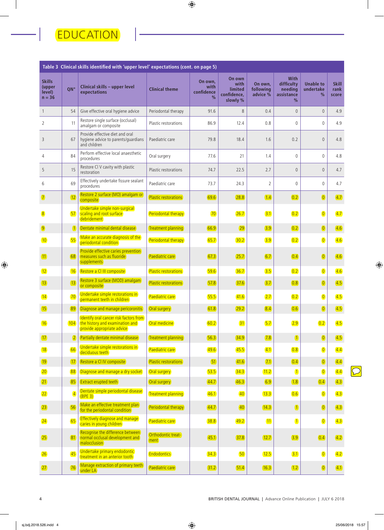$\perp$ 

 $\bigoplus$ 

 $\frac{1}{2}$ 

|                                               | Table 3 Clinical skills identified with 'upper level' expectations (cont. on page 5) |                                                                                                             |                             |                                       |                                                      |                                  |                                                  |                                       |                               |  |
|-----------------------------------------------|--------------------------------------------------------------------------------------|-------------------------------------------------------------------------------------------------------------|-----------------------------|---------------------------------------|------------------------------------------------------|----------------------------------|--------------------------------------------------|---------------------------------------|-------------------------------|--|
| <b>Skills</b><br>(upper<br>level)<br>$n = 36$ | QN°                                                                                  | Clinical skills - upper level<br>expectations                                                               | <b>Clinical theme</b>       | On own,<br>with<br>confidence<br>$\%$ | On own<br>with<br>limited<br>confidence,<br>slowly % | On own,<br>following<br>advice % | With<br>difficulty<br>needina<br>assistance<br>% | <b>Unable to</b><br>undertake<br>$\%$ | <b>Skill</b><br>rank<br>score |  |
| 1                                             | 54                                                                                   | Give effective oral hygiene advice                                                                          | Periodontal therapy         | 91.6                                  | 8                                                    | 0.4                              | $\Omega$                                         | $\overline{0}$                        | 4.9                           |  |
| 2                                             | 11                                                                                   | Restore single surface (occlusal)<br>amalgam or composite                                                   | Plastic restorations        | 86.9                                  | 12.4                                                 | 0.8                              | $\Omega$                                         | 0                                     | 4.9                           |  |
| 3                                             | 67                                                                                   | Provide effective diet and oral<br>hygiene advice to parents/guardians<br>and children                      | Paediatric care             | 79.8                                  | 18.4                                                 | 1.6                              | 0.2                                              | $\overline{0}$                        | 4.8                           |  |
| 4                                             | 84                                                                                   | Perform effective local anaesthetic<br>procedures                                                           | Oral surgery                | 77.6                                  | 21                                                   | 1.4                              | $\mathbf{0}$                                     | 0                                     | 4.8                           |  |
| 5                                             | 15                                                                                   | Restore Cl V cavity with plastic<br>restoration                                                             | Plastic restorations        | 74.7                                  | 22.5                                                 | 2.7                              | $\overline{0}$                                   | $\overline{0}$                        | 4.7                           |  |
| 6                                             | 69                                                                                   | Effectively undertake fissure sealant<br>procedures                                                         | Paediatric care             | 73.7                                  | 24.3                                                 | $\overline{2}$                   | $\mathbf{0}$                                     | 0                                     | 4.7                           |  |
| $\left( 7\right)$                             | (12)                                                                                 | Restore 2 surface (MO) amalgam or<br>composite                                                              | <b>Plastic restorations</b> | 69.6                                  | 28.8                                                 | (1.4)                            | $\overline{0.2}$                                 | $\overline{0}$                        | (4.7)                         |  |
|                                               | 57                                                                                   | Undertake simple non-surgical<br>scaling and root surface<br>debridement                                    | Periodontal therapy         | 70                                    | 26.7                                                 | 3.1                              | 0.2                                              | $\overline{0}$                        | 4.7                           |  |
| $\vert 9 \vert$                               | $\left(1\right)$                                                                     | Dentate minimal dental disease                                                                              | <b>Treatment planning</b>   | 66.9                                  | 29                                                   | 3.9                              | 0.2                                              | $\boxed{0}$                           | $\overline{4.6}$              |  |
| 10                                            | 55                                                                                   | Make an accurate diagnosis of the<br>periodontal condition                                                  | Periodontal therapy         | 65.7                                  | 30.2                                                 | 3.9                              | 0.2                                              | $\overline{0}$                        | 4.6                           |  |
| (11)                                          | 68                                                                                   | Provide effective caries prevention<br>measures such as fluoride<br>supplements                             | Paediatric care             | 67.3                                  | 25.7                                                 | 6.7                              | 0.4                                              | $\overline{0}$                        | 4.6                           |  |
| 12                                            | 16                                                                                   | Restore a Cl III composite                                                                                  | Plastic restorations        | 59.6                                  | 36.7                                                 | 3.5                              | 0.2                                              | $\overline{\mathbf{0}}$               | 4.6                           |  |
| (13)                                          | $\sqrt{13}$                                                                          | Restore 3 surface (MOD) amalgam<br>or composite                                                             | <b>Plastic restorations</b> | 57.8                                  | 37.6                                                 | 3.7                              | $\boxed{0.8}$                                    | $\overline{0}$                        | 4.5                           |  |
| 14                                            | 70                                                                                   | Undertake simple restorations in<br>permanent teeth in children                                             | Paediatric care             | 55.5                                  | 41.6                                                 | 2.7                              | 0.2                                              | $\overline{0}$                        | 4.5                           |  |
| 15                                            | 89                                                                                   | Diagnose and manage pericoronitis                                                                           | Oral surgery                | 61.8                                  | 29.2                                                 | 8.4                              | 0.6                                              | $\overline{0}$                        | 4.5                           |  |
| 16                                            |                                                                                      | Identify oral cancer risk factors from<br>104 the history and examination and<br>provide appropriate advice | Oral medicine               | 60.2                                  | 31                                                   | 5.7                              | 2.9                                              | 0.2                                   | 4.5                           |  |
| $\boxed{17}$                                  | $\left( 2\right)$                                                                    | Partially dentate minimal disease                                                                           | <b>Treatment planning</b>   | 56.3                                  | 34.9                                                 | (7.8)                            | $\overline{\mathbf{1}}$                          | $\overline{0}$                        | 4.5                           |  |
| <b>18</b>                                     | 66                                                                                   | Undertake simple restorations in<br>deciduous teeth                                                         | Paediatric care             | 49.6                                  | 45.5                                                 | 4.1                              | 0.8                                              | $\boxed{0}$                           | 4.4                           |  |
| $\boxed{19}$                                  | (17)                                                                                 | Restore a Cl IV composite                                                                                   | <b>Plastic restorations</b> | $\overline{51}$                       | (41.6)                                               | (7.1)                            | $\overline{0.4}$                                 | $\overline{0}$                        | $\overline{4.4}$              |  |
| $\boxed{20}$                                  | 88                                                                                   | Diagnose and manage a dry socket                                                                            | Oral surgery                | 53.5                                  | 34.3                                                 | 11.2                             | $\blacksquare$                                   | $\overline{\mathbf{0}}$               | 4.4                           |  |
| (21)                                          | 85                                                                                   | <b>Extract erupted teeth</b>                                                                                | Oral surgery                | (44.7)                                | 46.3                                                 | 6.9                              | (1.8)                                            | $\overline{0.4}$                      | 4.3                           |  |
| 22                                            | $\overline{4}$                                                                       | Dentate simple periodontal disease<br>(BPE3)                                                                | <b>Treatment planning</b>   | 46.1                                  | 40                                                   | 13.3                             | 0.6                                              | $\overline{\mathbf{0}}$               | 4.3                           |  |
| $\boxed{23}$                                  | 56                                                                                   | Make an effective treatment plan<br>for the periodontal condition                                           | Periodontal therapy         | (44.7)                                | 40                                                   | (14.3)                           | $\overline{\mathbf{1}}$                          | $\overline{0}$                        | 4.3                           |  |
| 24                                            | 65                                                                                   | <b>Effectively diagnose and manage</b><br>caries in young children                                          | Paediatric care             | 38.8                                  | 49.2                                                 | $\overline{11}$                  | $\mathbf{I}$                                     | $\boxed{0}$                           | 4.3                           |  |
| $\overline{25}$                               | $\sqrt{81}$                                                                          | Recognise the difference between<br>(normal occlusal development and)<br>malocclusion                       | Orthodontic treat-<br>ment  | 45.1                                  | 37.8                                                 | (12.7)                           | 3.9                                              | $\overline{0.4}$                      | $\overline{4.2}$              |  |
| 26                                            | 45                                                                                   | Undertake primary endodontic<br>treatment in an anterior tooth                                              | <b>Endodontics</b>          | 34.3                                  | 50                                                   | 12.5                             | 3.1                                              | $\boxed{0}$                           | 4.2                           |  |
| (27)                                          | 76                                                                                   | Manage extraction of primary teeth<br>under LA                                                              | Paediatric care             | (31.2)                                | (51.4)                                               | 16.3                             | (1.2)                                            | $\boxed{0}$                           | $\overline{4.1}$              |  |

 $\bigoplus$ 

4 BRITISH DENTAL JOURNAL | Advance Online Publication | JULY 6 2018

sj.bdj.2018.526.indd 4 25/06/2018 15:57

I

 $\bigoplus$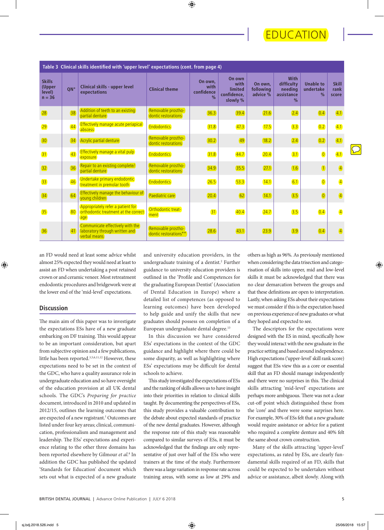|                                               | Table 3 Clinical skills identified with 'upper level' expectations (cont. from page 4) |                                                                                    |                                             |                                                |                                                      |                                  |                                                            |                                                |                               |  |  |
|-----------------------------------------------|----------------------------------------------------------------------------------------|------------------------------------------------------------------------------------|---------------------------------------------|------------------------------------------------|------------------------------------------------------|----------------------------------|------------------------------------------------------------|------------------------------------------------|-------------------------------|--|--|
| <b>Skills</b><br>(Upper<br>level)<br>$n = 36$ | <b>QN°</b>                                                                             | Clinical skills - upper level<br>expectations                                      | <b>Clinical theme</b>                       | On own.<br>with<br>confidence<br>$\frac{0}{0}$ | On own<br>with<br>limited<br>confidence,<br>slowly % | On own,<br>following<br>advice % | <b>With</b><br>difficulty<br>needina<br>assistance<br>$\%$ | <b>Unable to</b><br>undertake<br>$\frac{0}{0}$ | <b>Skill</b><br>rank<br>score |  |  |
| 28                                            | 38                                                                                     | Addition of teeth to an existing<br>partial denture                                | Removable prostho-<br>dontic restorations   | 36.3)                                          | (39.4)                                               | (21.6)                           | $\overline{2.4}$                                           | (0.4)                                          | $\left(4.1\right)$            |  |  |
| 29                                            | 44                                                                                     | <b>Effectively manage acute periapical</b><br>abscess                              | <b>Endodontics</b>                          | 31.8                                           | 47.3                                                 | 17.5                             | 3.3                                                        | 0.2                                            | 4.1                           |  |  |
| 30 <sup>°</sup>                               | 34                                                                                     | <b>Acrylic partial denture</b>                                                     | Removable prostho-<br>dontic restorations   | 30.2                                           | 49                                                   | (18.2)                           | $\overline{2.4}$                                           | $\overline{0.2}$                               | 4.1                           |  |  |
| 31                                            | 43                                                                                     | Effectively manage a vital pulp<br>exposure                                        | <b>Endodontics</b>                          | 31.8                                           | 44.7                                                 | 20.4                             | 3.1                                                        | $\overline{0}$                                 | 4.1                           |  |  |
| 32 <sup>°</sup>                               | 36                                                                                     | Repair to an existing complete/<br>partial denture                                 | Removable prostho-<br>dontic restorations   | 34.9                                           | 35.5                                                 | 27.1                             | (1.6)                                                      | $\overline{\mathbf{1}}$                        |                               |  |  |
| 33 <sup>°</sup>                               | 46                                                                                     | Undertake primary endodontic<br>treatment in premolar tooth                        | <b>Endodontics</b>                          | 26.5                                           | 53.3                                                 | 14.1                             | 6.1                                                        | $\overline{0}$                                 | $\overline{4}$                |  |  |
| 34                                            | 64                                                                                     | <b>Effectively manage the behaviour of</b><br>young children                       | Paediatric care                             | (20.4)                                         | 62                                                   | (14.1)                           | 3.5                                                        | $\overline{0}$                                 |                               |  |  |
| 35                                            | 80                                                                                     | Appropriately refer a patient for<br>orthodontic treatment at the correct<br>age   | Orthodontic treat-<br>ment                  | 31                                             | 40.4                                                 | 24.7                             | 3.5                                                        | 0.4                                            | $\mathbf{A}$                  |  |  |
| 36                                            | (41)                                                                                   | Communicate effectively with the<br>laboratory through written and<br>verbal means | Removable prostho-<br>dontic restorations** | 28.6                                           | 43.1                                                 | 23.9                             | 3.9                                                        | $\overline{0.4}$                               |                               |  |  |

⊕

an FD would need at least some advice whilst almost 25% expected they would need at least to assist an FD when undertaking a post retained crown or and ceramic veneer. Most retreatment endodontic procedures and bridgework were at the lower end of the 'mid-level' expectations.

#### **Discussion**

⊕

The main aim of this paper was to investigate the expectations ESs have of a new graduate embarking on DF training. This would appear to be an important consideration, but apart from subjective opinion and a few publications, little has been reported.3,5,6,11,12 However, these expectations need to be set in the context of the GDC, who have a quality assurance role in undergraduate education and so have oversight of the education provision at all UK dental schools. The GDC's Preparing for practice document, introduced in 2010 and updated in 2012/15, outlines the learning outcomes that are expected of a new registrant.<sup>1</sup> Outcomes are listed under four key areas; clinical, communication, professionalism and management and leadership. The ESs' expectations and experience relating to the other three domains has been reported elsewhere by Gilmour et al.<sup>8</sup> In addition the GDC has published the updated 'Standards for Education' document which sets out what is expected of a new graduate

and university education providers, in the undergraduate training of a dentist.<sup>2</sup> Further guidance to university education providers is outlined in the 'Profile and Competences for the graduating European Dentist' (Association of Dental Education in Europe) where a detailed list of competences (as opposed to learning outcomes) have been developed to help guide and unify the skills that new graduates should possess on completion of a European undergraduate dental degree.<sup>13</sup>

In this discussion we have considered ESs' expectations in the context of the GDC guidance and highlight where there could be some disparity, as well as highlighting where ESs' expectations may be difficult for dental schools to achieve.

This study investigated the expectations of ESs and the ranking of skills allows us to have insight into their priorities in relation to clinical skills taught. By documenting the perspectives of ESs, this study provides a valuable contribution to the debate about expected standards of practice of the new dental graduates. However, although the response rate of this study was reasonable compared to similar surveys of ESs, it must be acknowledged that the findings are only representative of just over half of the ESs who were trainers at the time of the study. Furthermore there was a large variation in response rate across training areas, with some as low at 29% and others as high as 96%. As previously mentioned when considering the data trisection and categorisation of skills into upper, mid and low-level skills it must be acknowledged that there was no clear demarcation between the groups and that these definitions are open to interpretation. Lastly, when asking ESs about their expectations we must consider if this is the expectation based on previous experience of new graduates or what they hoped and expected to see.

The descriptors for the expectations were designed with the ES in mind, specifically how they would interact with the new graduate in the practice setting and based around independence. High expectations ('upper-level' skill rank score) suggest that ESs view this as a core or essential skill that an FD should manage independently and there were no surprises in this. The clinical skills attracting 'mid-level' expectations are perhaps more ambiguous. There was not a clear cut-off point which distinguished these from the 'core' and there were some surprises here. For example, 30% of ESs felt that a new graduate would require assistance or advice for a patient who required a complete denture and 40% felt the same about crown construction.

Many of the skills attracting 'upper-level' expectations, as rated by ESs, are clearly fundamental skills required of an FD, skills that could be expected to be undertaken without advice or assistance, albeit slowly. Along with

sj.bdj.2018.526.indd 5 25/06/2018 15:57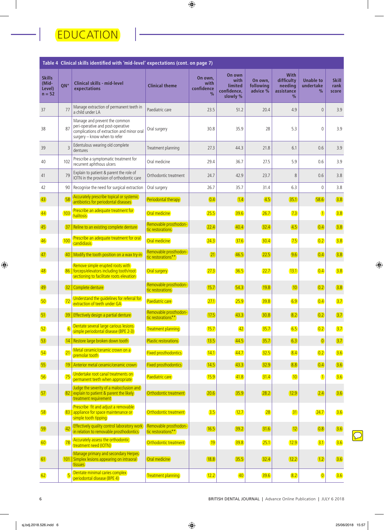$\overline{\phantom{a}}$ 

 $\overline{\phantom{a}}$ 

 $\bigoplus$ 

L,

| Table 4 Clinical skills identified with 'mid-level' expectations (cont. on page 7) |                 |                                                                                                                                                  |                                             |                                                |                                                      |                                  |                                                     |                                       |                               |
|------------------------------------------------------------------------------------|-----------------|--------------------------------------------------------------------------------------------------------------------------------------------------|---------------------------------------------|------------------------------------------------|------------------------------------------------------|----------------------------------|-----------------------------------------------------|---------------------------------------|-------------------------------|
| <b>Skills</b><br>(Mid-<br>Level)<br>$n = 52$                                       | QN°             | <b>Clinical skills - mid-level</b><br>expectations                                                                                               | <b>Clinical theme</b>                       | On own,<br>with<br>confidence<br>$\frac{0}{0}$ | On own<br>with<br>limited<br>confidence.<br>slowly % | On own,<br>following<br>advice % | With<br>difficulty<br>needing<br>assistance<br>$\%$ | <b>Unable to</b><br>undertake<br>$\%$ | <b>Skill</b><br>rank<br>score |
| 37                                                                                 | 77              | Manage extraction of permanent teeth in<br>a child under LA                                                                                      | Paediatric care                             | 23.5                                           | 51.2                                                 | 20.4                             | 4.9                                                 | $\overline{0}$                        | 3.9                           |
| 38                                                                                 | 87              | Manage and prevent the common<br>peri-operative and post-operative<br>complications of extraction and minor oral<br>surgery - know when to refer | Oral surgery                                | 30.8                                           | 35.9                                                 | 28                               | 5.3                                                 | 0                                     | 3.9                           |
| 39                                                                                 | $\overline{3}$  | Edentulous wearing old complete<br>dentures                                                                                                      | Treatment planning                          | 27.3                                           | 44.3                                                 | 21.8                             | 6.1                                                 | 0.6                                   | 3.9                           |
| 40                                                                                 | 102             | Prescribe a symptomatic treatment for<br>recurrent aphthous ulcers                                                                               | Oral medicine                               | 29.4                                           | 36.7                                                 | 27.5                             | 5.9                                                 | 0.6                                   | 3.9                           |
| 41                                                                                 | 79              | Explain to patient & parent the role of<br>IOTN in the provision of orthodontic care                                                             | Orthodontic treatment                       | 24.7                                           | 42.9                                                 | 23.7                             | 8                                                   | 0.6                                   | 3.8                           |
| 42                                                                                 | 90 <sub>1</sub> | Recognise the need for surgical extraction                                                                                                       | Oral surgery                                | 26.7                                           | 35.7                                                 | 31.4                             | 6.3                                                 | $\mathbf 0$                           | 3.8                           |
| 43                                                                                 | 58              | Accurately prescribe topical or systemic<br>antibiotics for periodontal diseases                                                                 | Periodontal therapy                         | 0.4                                            | (1.4)                                                | 4.5                              | 35.1                                                | 58.6                                  | 3.8                           |
| 44                                                                                 | 103             | Prescribe an adequate treatment for<br>halitosis                                                                                                 | Oral medicine                               | 25.5                                           | 39.6                                                 | 26.7                             | 7.3                                                 | $\overline{\mathbf{1}}$               | 3.8                           |
| $\overline{45}$                                                                    | $\overline{37}$ | Reline to an existing complete denture                                                                                                           | Removable prosthodon-<br>tic restorations   | 22.4                                           | 40.4                                                 | 32.4                             | 4.5                                                 | 0.4                                   | 3.8                           |
| 46                                                                                 | <b>100</b>      | Prescribe an adequate treatment for oral<br>candidiasis                                                                                          | Oral medicine                               | 24.3                                           | 37.6                                                 | 30.4                             | 7.5                                                 | 0.2                                   | 3.8                           |
| 47                                                                                 |                 | 40 Modify the tooth position on a wax try-in                                                                                                     | Removable prosthodon-<br>tic restorations** | $\sqrt{21}$                                    | 46.5                                                 | 22.5                             | 9.6                                                 | 0.4                                   | 3.8                           |
| 48                                                                                 | 86              | Remove simple erupted roots with<br>forceps/elevators including tooth/root<br>sectioning to facilitate roots elevation                           | Oral surgery                                | 27.3                                           | 36.5                                                 | 22.7                             | 13.1                                                | 0.4                                   | 3.8                           |
| 49                                                                                 | 32 <sup>2</sup> | Complete denture                                                                                                                                 | Removable prosthodon-<br>tic restorations   | (15.7)                                         | 54.3                                                 | (19.8)                           | $\boxed{10}$                                        | 0.2                                   | 3.8                           |
| 50                                                                                 | 72              | Understand the quidelines for referral for<br>extraction of teeth under GA                                                                       | Paediatric care                             | 27.1                                           | 25.9                                                 | 39.8                             | 6.9                                                 | 0.4                                   | 3.7                           |
| 51                                                                                 |                 | 39 Effectively design a partial denture                                                                                                          | Removable prosthodon-<br>tic restorations** | 17.5                                           | 43.3                                                 | 30.8                             | 8.2                                                 | 0.2                                   | 3.7                           |
| 52                                                                                 |                 | Dentate several large carious lesions<br>simple periodontal disease (BPE 2-3)                                                                    | <b>Treatment planning</b>                   | 15.7                                           | 42                                                   | 35.7                             | 6.5                                                 | 0.2                                   | 3.7                           |
| 53                                                                                 | 14              | Restore large broken down tooth                                                                                                                  | <b>Plastic restorations</b>                 | (13.5)                                         | 44.5                                                 | 35.7                             | 6.3                                                 | $\boxed{0}$                           | $\overline{3.7}$              |
| 54                                                                                 | 21              | Metal ceramic/ceramic crown on a<br>premolar tooth                                                                                               | <b>Fixed prosthodontics</b>                 | 14.1                                           | 44.7                                                 | 32.5                             | 8.4                                                 | 0.2                                   | 3.6                           |
| 55                                                                                 | 19              | Anterior metal ceramic/ceramic crown                                                                                                             | <b>Fixed prosthodontics</b>                 | (14.5)                                         | 43.3                                                 | $32.9$                           | $\boxed{8.8}$                                       | $\overline{0.4}$                      | 3.6                           |
| 56                                                                                 | 75              | Undertake root canal treatments on<br>permanent teeth when appropriate                                                                           | Paediatric care                             | 15.9                                           | 41.8                                                 | 31.4                             | $ 10\rangle$                                        | $\overline{\mathbf{1}}$               | 3.6                           |
| 57 <sub>o</sub>                                                                    | $\sqrt{82}$     | Judge the severity of a malocclusion and<br>explain to patient & parent the likely<br>treatment requirement                                      | Orthodontic treatment                       | (20.6)                                         | 35.9                                                 | 28.2                             | (12.9)                                              | 2.4                                   | 3.6                           |
| 58                                                                                 | 83              | Prescribe fit and adjust a removable<br>appliance for space maintenance or<br>simple tooth tipping                                               | Orthodontic treatment                       | 3.5                                            | 12.7                                                 | 28                               | 31                                                  | 24.7                                  | 3.6                           |
| 59                                                                                 | 42              | <b>Effectively quality control laboratory work</b><br>in relation to removable prosthodontics)                                                   | Removable prosthodon-<br>tic restorations** | (16.5)                                         | $39.2$                                               | $31.6$                           | (12)                                                | $\boxed{0.8}$                         | 3.6                           |
| 60                                                                                 | 78              | Accurately assess the orthodontic<br>treatment need (IOTN)                                                                                       | Orthodontic treatment                       | 19                                             | 39.8                                                 | 25.1                             | 12.9                                                | 3.1                                   | 3.6                           |
| 61                                                                                 | 101             | Manage primary and secondary Herpes<br>Simplex lesions appearing on intraoral<br><b>tissues</b>                                                  | Oral medicine                               | 18.8                                           | 35.5                                                 | 32.4                             | (12.2)                                              | (1.2)                                 | 3.6                           |
| 62                                                                                 | 5               | Dentate minimal caries complex<br>periodontal disease (BPE 4)                                                                                    | <b>Treatment planning</b>                   | 12.2                                           | 40 <sup>°</sup>                                      | 39.6                             | 8.2                                                 | $\overline{0}$                        | 3.6                           |

 $\bigoplus$ 

6 BRITISH DENTAL JOURNAL | Advance Online Publication | JULY 6 2018

 $\boxed{\bigcirc}$ 

 $\bigoplus$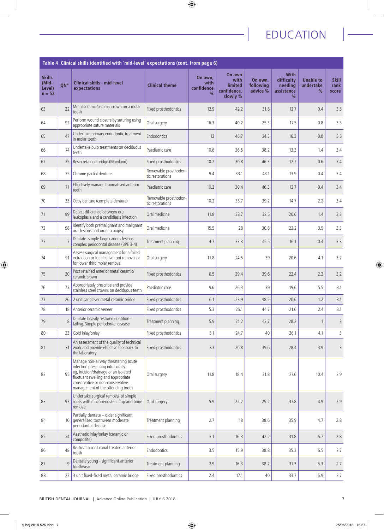$\mathbb{I}$ 

 $\overline{\phantom{0}}$ 

 $\bigoplus$ 

|                                              |                | Table 4 Clinical skills identified with 'mid-level' expectations (cont. from page 6)                                                                                                                                            |                                           |                                                |                                                      |                                  |                                                     |                                       |                               |
|----------------------------------------------|----------------|---------------------------------------------------------------------------------------------------------------------------------------------------------------------------------------------------------------------------------|-------------------------------------------|------------------------------------------------|------------------------------------------------------|----------------------------------|-----------------------------------------------------|---------------------------------------|-------------------------------|
| <b>Skills</b><br>(Mid-<br>Level)<br>$n = 52$ | QN°            | Clinical skills - mid-level<br>expectations                                                                                                                                                                                     | <b>Clinical theme</b>                     | On own,<br>with<br>confidence<br>$\frac{9}{6}$ | On own<br>with<br>limited<br>confidence,<br>slowly % | On own,<br>following<br>advice % | With<br>difficulty<br>needing<br>assistance<br>$\%$ | <b>Unable to</b><br>undertake<br>$\%$ | <b>Skill</b><br>rank<br>score |
| 63                                           | 22             | Metal ceramic/ceramic crown on a molar<br>tooth                                                                                                                                                                                 | Fixed prosthodontics                      | 12.9                                           | 42.2                                                 | 31.8                             | 12.7                                                | 0.4                                   | 3.5                           |
| 64                                           | 92             | Perform wound closure by suturing using<br>appropriate suture materials                                                                                                                                                         | Oral surgery                              | 16.3                                           | 40.2                                                 | 25.3                             | 17.5                                                | 0.8                                   | 3.5                           |
| 65                                           | 47             | Undertake primary endodontic treatment<br>in molar tooth                                                                                                                                                                        | Endodontics                               | 12                                             | 46.7                                                 | 24.3                             | 16.3                                                | 0.8                                   | 3.5                           |
| 66                                           | 74             | Undertake pulp treatments on deciduous<br>teeth                                                                                                                                                                                 | Paediatric care                           | 10.6                                           | 36.5                                                 | 38.2                             | 13.3                                                | 1.4                                   | 3.4                           |
| 67                                           | 25             | Resin retained bridge (Maryland)                                                                                                                                                                                                | Fixed prosthodontics                      | 10.2                                           | 30.8                                                 | 46.3                             | 12.2                                                | 0.6                                   | 3.4                           |
| 68                                           | 35             | Chrome partial denture                                                                                                                                                                                                          | Removable prosthodon-<br>tic restorations | 9.4                                            | 33.1                                                 | 43.1                             | 13.9                                                | 0.4                                   | 3.4                           |
| 69                                           | 71             | Effectively manage traumatised anterior<br>teeth                                                                                                                                                                                | Paediatric care                           | 10.2                                           | 30.4                                                 | 46.3                             | 12.7                                                | 0.4                                   | 3.4                           |
| 70                                           | 33             | Copy denture (complete denture)                                                                                                                                                                                                 | Removable prosthodon-<br>tic restorations | 10.2                                           | 33.7                                                 | 39.2                             | 14.7                                                | 2.2                                   | 3.4                           |
| 71                                           | 99             | Detect difference between oral<br>leukoplasia and a candidiasis infection                                                                                                                                                       | Oral medicine                             | 11.8                                           | 33.7                                                 | 32.5                             | 20.6                                                | 1.4                                   | 3.3                           |
| 72                                           | 98             | Identify both premalignant and malignant<br>oral lesions and order a biopsy                                                                                                                                                     | Oral medicine                             | 15.5                                           | 28                                                   | 30.8                             | 22.2                                                | 3.5                                   | 3.3                           |
| 73                                           |                | Dentate simple large carious lesions<br>complex periodontal disease (BPE 3-4)                                                                                                                                                   | Treatment planning                        | 4.7                                            | 33.3                                                 | 45.5                             | 16.1                                                | 0.4                                   | 3.3                           |
| 74                                           | 91             | Assess surgical management for a failed<br>extraction or for elective root removal or<br>for lower third molar removal                                                                                                          | Oral surgery                              | 11.8                                           | 24.5                                                 | 39                               | 20.6                                                | 4.1                                   | 3.2                           |
| 75                                           | 20             | Post retained anterior metal ceramic/<br>ceramic crown                                                                                                                                                                          | Fixed prosthodontics                      | 6.5                                            | 29.4                                                 | 39.6                             | 22.4                                                | 2.2                                   | 3.2                           |
| 76                                           | 73             | Appropriately prescribe and provide<br>stainless steel crowns on deciduous teeth                                                                                                                                                | Paediatric care                           | 9.6                                            | 26.3                                                 | 39                               | 19.6                                                | 5.5                                   | 3.1                           |
| 77                                           | 26             | 2 unit cantilever metal ceramic bridge                                                                                                                                                                                          | Fixed prosthodontics                      | 6.1                                            | 23.9                                                 | 48.2                             | 20.6                                                | 1.2                                   | 3.1                           |
| 78                                           | 18             | Anterior ceramic veneer                                                                                                                                                                                                         | Fixed prosthodontics                      | 5.3                                            | 26.1                                                 | 44.7                             | 21.6                                                | 2.4                                   | 3.1                           |
| 79                                           | $\mathsf{R}$   | Dentate heavily restored dentition -<br>failing. Simple periodontal disease                                                                                                                                                     | Treatment planning                        | 5.9                                            | 21.2                                                 | 43.7                             | 28.2                                                | 1                                     | 3                             |
| 80                                           | 23             | Gold inlay/onlay                                                                                                                                                                                                                | Fixed prosthodontics                      | 5.1                                            | 24.7                                                 | 40                               | 26.1                                                | 4.1                                   | 3                             |
| 81                                           | 31             | An assessment of the quality of technical<br>work and provide effective feedback to<br>the laboratory                                                                                                                           | Fixed prosthodontics                      | 7.3                                            | 20.8                                                 | 39.6                             | 28.4                                                | 3.9                                   | 3                             |
| 82                                           | 95             | Manage non-airway threatening acute<br>infection presenting intra-orally<br>eq, incision/drainage of an isolated<br>fluctuant swelling and appropriate<br>conservative or non-conservative<br>management of the offending tooth | Oral surgery                              | 11.8                                           | 18.4                                                 | 31.8                             | 27.6                                                | 10.4                                  | 2.9                           |
| 83                                           | 93             | Undertake surgical removal of simple<br>roots with mucoperiosteal flap and bone<br>removal                                                                                                                                      | Oral surgery                              | 5.9                                            | 22.2                                                 | 29.2                             | 37.8                                                | 4.9                                   | 2.9                           |
| 84                                           | 10             | Partially dentate - older significant<br>generalised toothwear moderate<br>periodontal disease                                                                                                                                  | Treatment planning                        | 2.7                                            | 18                                                   | 38.6                             | 35.9                                                | 4.7                                   | 2.8                           |
| 85                                           | 24             | Aesthetic inlay/onlay (ceramic or<br>composite)                                                                                                                                                                                 | Fixed prosthodontics                      | 3.1                                            | 16.3                                                 | 42.2                             | 31.8                                                | 6.7                                   | 2.8                           |
| 86                                           | 48             | Re-treat a root canal treated anterior<br>tooth                                                                                                                                                                                 | Endodontics                               | 3.5                                            | 15.9                                                 | 38.8                             | 35.3                                                | 6.5                                   | 2.7                           |
| 87                                           | $\overline{Q}$ | Dentate young - significant anterior<br>toothwear                                                                                                                                                                               | Treatment planning                        | 2.9                                            | 16.3                                                 | 38.2                             | 37.3                                                | 5.3                                   | 2.7                           |
| 88                                           | 27             | 3 unit fixed-fixed metal ceramic bridge                                                                                                                                                                                         | Fixed prosthodontics                      | 2.4                                            | 17.1                                                 | 40                               | 33.7                                                | 6.9                                   | 2.7                           |

 $\bigoplus$ 

BRITISH DENTAL JOURNAL | Advance Online Publication | JULY 6 2018 7

 $\frac{1}{2}$ 

 $\bigoplus$